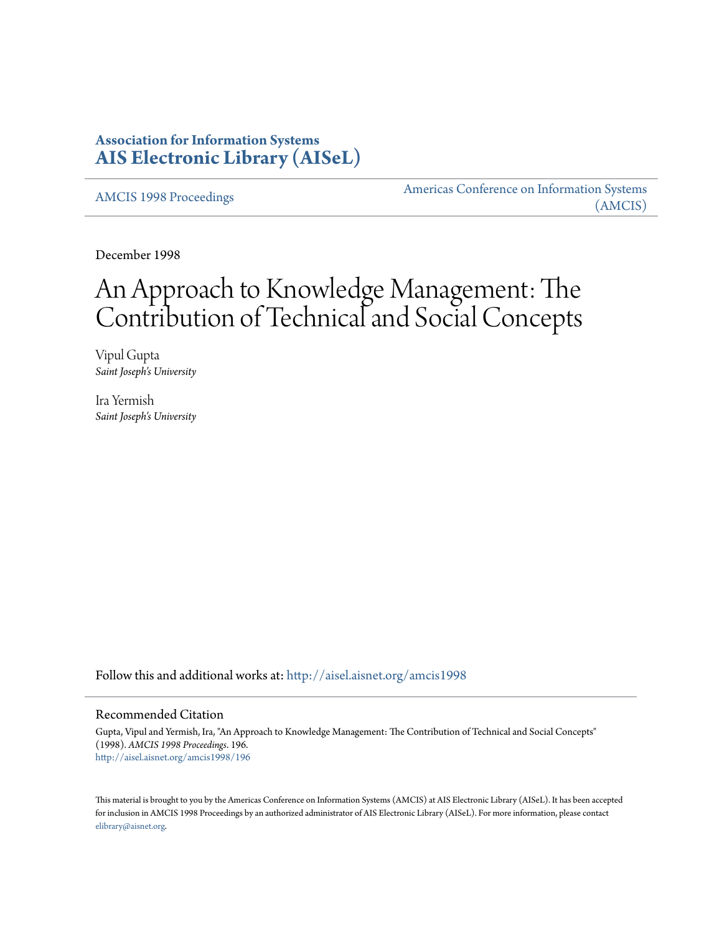## **Association for Information Systems [AIS Electronic Library \(AISeL\)](http://aisel.aisnet.org?utm_source=aisel.aisnet.org%2Famcis1998%2F196&utm_medium=PDF&utm_campaign=PDFCoverPages)**

[AMCIS 1998 Proceedings](http://aisel.aisnet.org/amcis1998?utm_source=aisel.aisnet.org%2Famcis1998%2F196&utm_medium=PDF&utm_campaign=PDFCoverPages)

[Americas Conference on Information Systems](http://aisel.aisnet.org/amcis?utm_source=aisel.aisnet.org%2Famcis1998%2F196&utm_medium=PDF&utm_campaign=PDFCoverPages) [\(AMCIS\)](http://aisel.aisnet.org/amcis?utm_source=aisel.aisnet.org%2Famcis1998%2F196&utm_medium=PDF&utm_campaign=PDFCoverPages)

December 1998

# An Approach to Knowledge Management: The Contribution of Technical and Social Concepts

Vipul Gupta *Saint Joseph's University*

Ira Yermish *Saint Joseph's University*

Follow this and additional works at: [http://aisel.aisnet.org/amcis1998](http://aisel.aisnet.org/amcis1998?utm_source=aisel.aisnet.org%2Famcis1998%2F196&utm_medium=PDF&utm_campaign=PDFCoverPages)

#### Recommended Citation

Gupta, Vipul and Yermish, Ira, "An Approach to Knowledge Management: The Contribution of Technical and Social Concepts" (1998). *AMCIS 1998 Proceedings*. 196. [http://aisel.aisnet.org/amcis1998/196](http://aisel.aisnet.org/amcis1998/196?utm_source=aisel.aisnet.org%2Famcis1998%2F196&utm_medium=PDF&utm_campaign=PDFCoverPages)

This material is brought to you by the Americas Conference on Information Systems (AMCIS) at AIS Electronic Library (AISeL). It has been accepted for inclusion in AMCIS 1998 Proceedings by an authorized administrator of AIS Electronic Library (AISeL). For more information, please contact [elibrary@aisnet.org.](mailto:elibrary@aisnet.org%3E)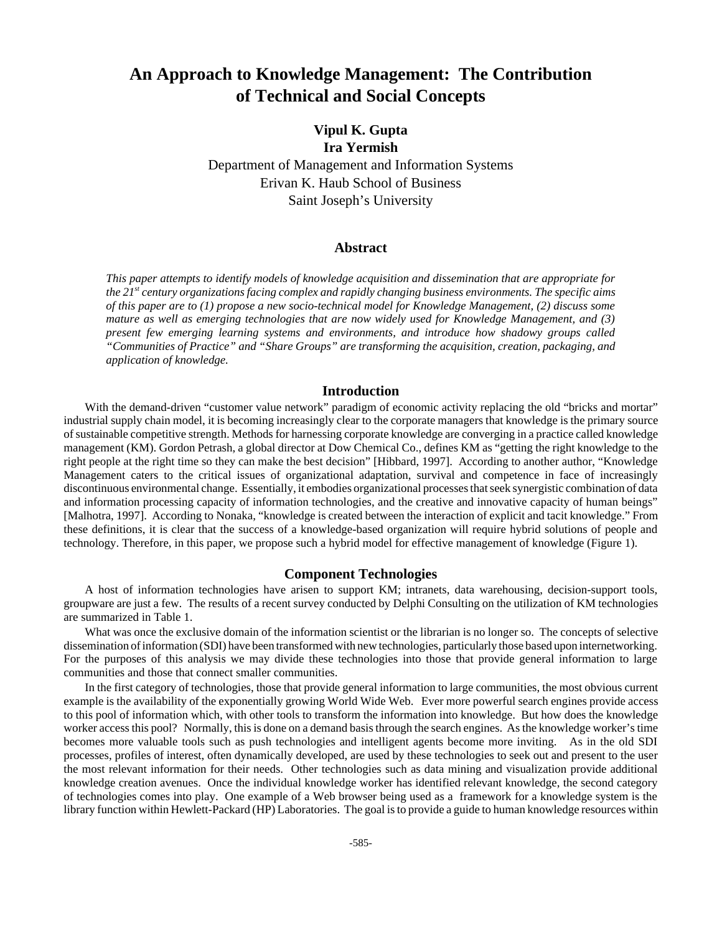## **An Approach to Knowledge Management: The Contribution of Technical and Social Concepts**

### **Vipul K. Gupta Ira Yermish**

Department of Management and Information Systems Erivan K. Haub School of Business Saint Joseph's University

#### **Abstract**

*This paper attempts to identify models of knowledge acquisition and dissemination that are appropriate for the 21st century organizations facing complex and rapidly changing business environments. The specific aims of this paper are to (1) propose a new socio-technical model for Knowledge Management, (2) discuss some mature as well as emerging technologies that are now widely used for Knowledge Management, and (3) present few emerging learning systems and environments, and introduce how shadowy groups called "Communities of Practice" and "Share Groups" are transforming the acquisition, creation, packaging, and application of knowledge.*

#### **Introduction**

With the demand-driven "customer value network" paradigm of economic activity replacing the old "bricks and mortar" industrial supply chain model, it is becoming increasingly clear to the corporate managers that knowledge is the primary source of sustainable competitive strength. Methods for harnessing corporate knowledge are converging in a practice called knowledge management (KM). Gordon Petrash, a global director at Dow Chemical Co., defines KM as "getting the right knowledge to the right people at the right time so they can make the best decision" [Hibbard, 1997]. According to another author, "Knowledge Management caters to the critical issues of organizational adaptation, survival and competence in face of increasingly discontinuous environmental change. Essentially, it embodies organizational processes that seek synergistic combination of data and information processing capacity of information technologies, and the creative and innovative capacity of human beings" [Malhotra, 1997]. According to Nonaka, "knowledge is created between the interaction of explicit and tacit knowledge." From these definitions, it is clear that the success of a knowledge-based organization will require hybrid solutions of people and technology. Therefore, in this paper, we propose such a hybrid model for effective management of knowledge (Figure 1).

#### **Component Technologies**

A host of information technologies have arisen to support KM; intranets, data warehousing, decision-support tools, groupware are just a few. The results of a recent survey conducted by Delphi Consulting on the utilization of KM technologies are summarized in Table 1.

What was once the exclusive domain of the information scientist or the librarian is no longer so. The concepts of selective dissemination of information (SDI) have been transformed with new technologies, particularly those based upon internetworking. For the purposes of this analysis we may divide these technologies into those that provide general information to large communities and those that connect smaller communities.

In the first category of technologies, those that provide general information to large communities, the most obvious current example is the availability of the exponentially growing World Wide Web. Ever more powerful search engines provide access to this pool of information which, with other tools to transform the information into knowledge. But how does the knowledge worker access this pool? Normally, this is done on a demand basis through the search engines. As the knowledge worker's time becomes more valuable tools such as push technologies and intelligent agents become more inviting. As in the old SDI processes, profiles of interest, often dynamically developed, are used by these technologies to seek out and present to the user the most relevant information for their needs. Other technologies such as data mining and visualization provide additional knowledge creation avenues. Once the individual knowledge worker has identified relevant knowledge, the second category of technologies comes into play. One example of a Web browser being used as a framework for a knowledge system is the library function within Hewlett-Packard (HP) Laboratories. The goal is to provide a guide to human knowledge resources within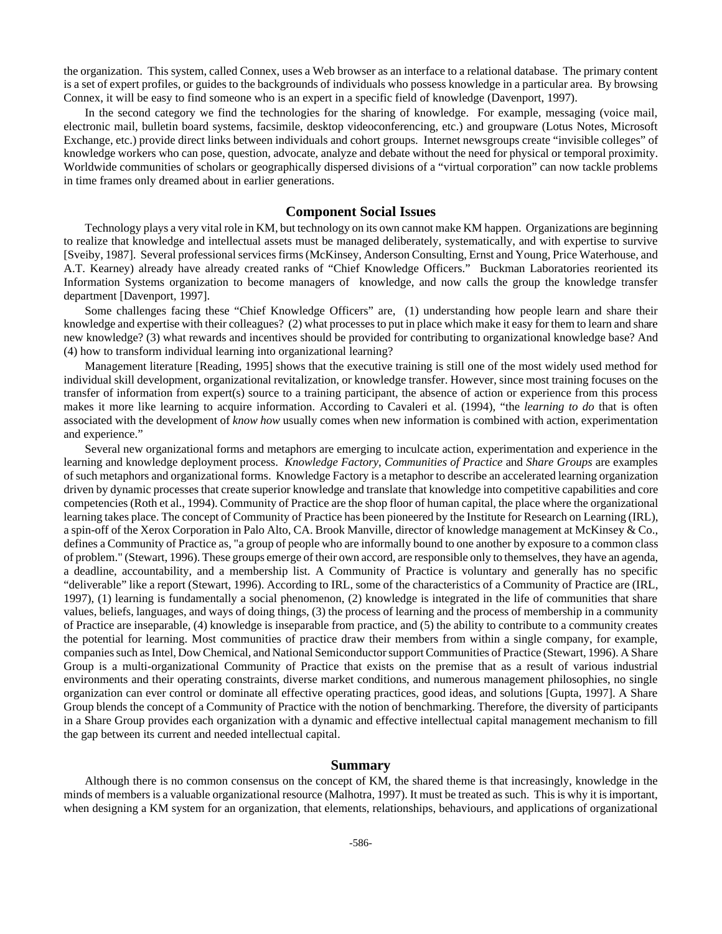the organization. This system, called Connex, uses a Web browser as an interface to a relational database. The primary content is a set of expert profiles, or guides to the backgrounds of individuals who possess knowledge in a particular area. By browsing Connex, it will be easy to find someone who is an expert in a specific field of knowledge (Davenport, 1997).

In the second category we find the technologies for the sharing of knowledge. For example, messaging (voice mail, electronic mail, bulletin board systems, facsimile, desktop videoconferencing, etc.) and groupware (Lotus Notes, Microsoft Exchange, etc.) provide direct links between individuals and cohort groups. Internet newsgroups create "invisible colleges" of knowledge workers who can pose, question, advocate, analyze and debate without the need for physical or temporal proximity. Worldwide communities of scholars or geographically dispersed divisions of a "virtual corporation" can now tackle problems in time frames only dreamed about in earlier generations.

#### **Component Social Issues**

Technology plays a very vital role in KM, but technology on its own cannot make KM happen. Organizations are beginning to realize that knowledge and intellectual assets must be managed deliberately, systematically, and with expertise to survive [Sveiby, 1987]. Several professional services firms (McKinsey, Anderson Consulting, Ernst and Young, Price Waterhouse, and A.T. Kearney) already have already created ranks of "Chief Knowledge Officers." Buckman Laboratories reoriented its Information Systems organization to become managers of knowledge, and now calls the group the knowledge transfer department [Davenport, 1997].

Some challenges facing these "Chief Knowledge Officers" are, (1) understanding how people learn and share their knowledge and expertise with their colleagues? (2) what processes to put in place which make it easy for them to learn and share new knowledge? (3) what rewards and incentives should be provided for contributing to organizational knowledge base? And (4) how to transform individual learning into organizational learning?

Management literature [Reading, 1995] shows that the executive training is still one of the most widely used method for individual skill development, organizational revitalization, or knowledge transfer. However, since most training focuses on the transfer of information from expert(s) source to a training participant, the absence of action or experience from this process makes it more like learning to acquire information. According to Cavaleri et al. (1994), "the *learning to do* that is often associated with the development of *know how* usually comes when new information is combined with action, experimentation and experience."

Several new organizational forms and metaphors are emerging to inculcate action, experimentation and experience in the learning and knowledge deployment process. *Knowledge Factory*, *Communities of Practice* and *Share Groups* are examples of such metaphors and organizational forms. Knowledge Factory is a metaphor to describe an accelerated learning organization driven by dynamic processes that create superior knowledge and translate that knowledge into competitive capabilities and core competencies (Roth et al., 1994). Community of Practice are the shop floor of human capital, the place where the organizational learning takes place. The concept of Community of Practice has been pioneered by the Institute for Research on Learning (IRL), a spin-off of the Xerox Corporation in Palo Alto, CA. Brook Manville, director of knowledge management at McKinsey & Co., defines a Community of Practice as, "a group of people who are informally bound to one another by exposure to a common class of problem." (Stewart, 1996). These groups emerge of their own accord, are responsible only to themselves, they have an agenda, a deadline, accountability, and a membership list. A Community of Practice is voluntary and generally has no specific "deliverable" like a report (Stewart, 1996). According to IRL, some of the characteristics of a Community of Practice are (IRL, 1997), (1) learning is fundamentally a social phenomenon, (2) knowledge is integrated in the life of communities that share values, beliefs, languages, and ways of doing things, (3) the process of learning and the process of membership in a community of Practice are inseparable, (4) knowledge is inseparable from practice, and (5) the ability to contribute to a community creates the potential for learning. Most communities of practice draw their members from within a single company, for example, companies such as Intel, Dow Chemical, and National Semiconductor support Communities of Practice (Stewart, 1996). A Share Group is a multi-organizational Community of Practice that exists on the premise that as a result of various industrial environments and their operating constraints, diverse market conditions, and numerous management philosophies, no single organization can ever control or dominate all effective operating practices, good ideas, and solutions [Gupta, 1997]. A Share Group blends the concept of a Community of Practice with the notion of benchmarking. Therefore, the diversity of participants in a Share Group provides each organization with a dynamic and effective intellectual capital management mechanism to fill the gap between its current and needed intellectual capital.

#### **Summary**

Although there is no common consensus on the concept of KM, the shared theme is that increasingly, knowledge in the minds of members is a valuable organizational resource (Malhotra, 1997). It must be treated as such. This is why it is important, when designing a KM system for an organization, that elements, relationships, behaviours, and applications of organizational